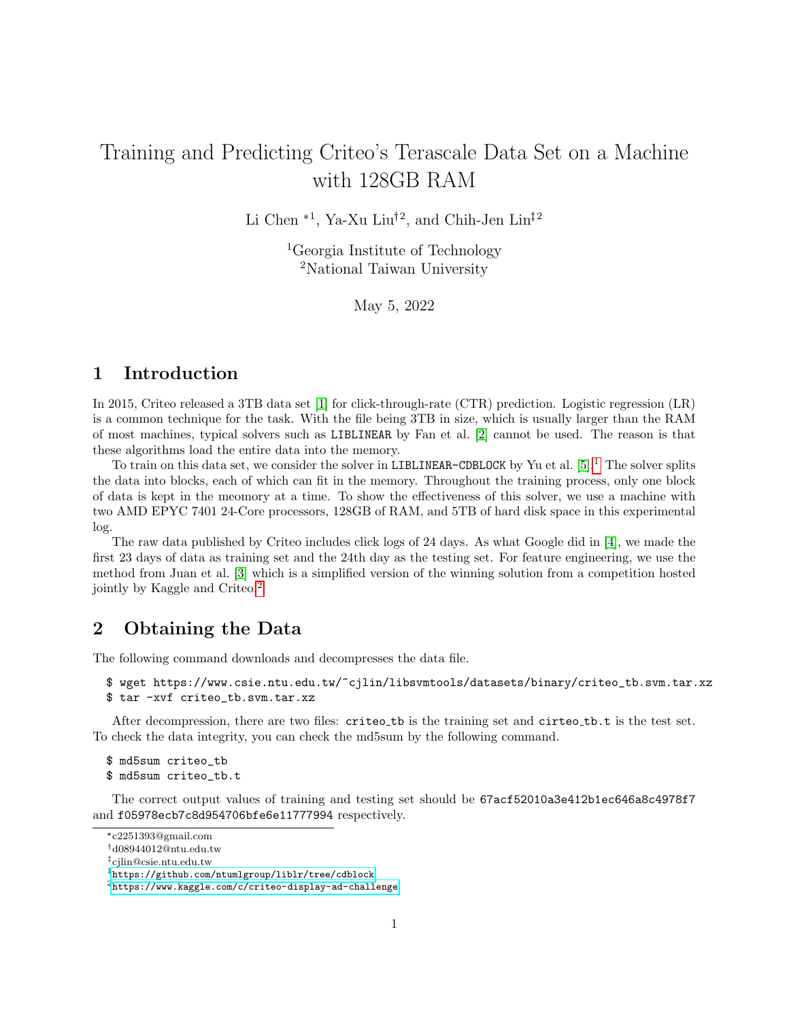# Training and Predicting Criteo's Terascale Data Set on a Machine with 128GB RAM

Li Chen<sup>\*1</sup>, Ya-Xu Liu<sup>†2</sup>, and Chih-Jen Lin<sup>‡2</sup>

<sup>1</sup>Georgia Institute of Technology <sup>2</sup>National Taiwan University

May 5, 2022

### 1 Introduction

In 2015, Criteo released a 3TB data set [\[1\]](#page-1-0) for click-through-rate (CTR) prediction. Logistic regression (LR) is a common technique for the task. With the file being 3TB in size, which is usually larger than the RAM of most machines, typical solvers such as LIBLINEAR by Fan et al. [\[2\]](#page-1-1) cannot be used. The reason is that these algorithms load the entire data into the memory.

To train on this data set, we consider the solver in LIBLINEAR-CDBLOCK by Yu et al.  $[5]$ .<sup>[1](#page-0-0)</sup> The solver splits the data into blocks, each of which can fit in the memory. Throughout the training process, only one block of data is kept in the meomory at a time. To show the effectiveness of this solver, we use a machine with two AMD EPYC 7401 24-Core processors, 128GB of RAM, and 5TB of hard disk space in this experimental log.

The raw data published by Criteo includes click logs of 24 days. As what Google did in [\[4\]](#page-2-1), we made the first 23 days of data as training set and the 24th day as the testing set. For feature engineering, we use the method from Juan et al. [\[3\]](#page-1-2) which is a simplified version of the winning solution from a competition hosted jointly by Kaggle and Criteo.[2](#page-0-1)

## 2 Obtaining the Data

The following command downloads and decompresses the data file.

\$ wget https://www.csie.ntu.edu.tw/~cjlin/libsvmtools/datasets/binary/criteo\_tb.svm.tar.xz \$ tar -xvf criteo tb.svm.tar.xz

After decompression, there are two files: criteo\_tb is the training set and cirteo\_tb.t is the test set. To check the data integrity, you can check the md5sum by the following command.

\$ md5sum criteo\_tb \$ md5sum criteo\_tb.t

The correct output values of training and testing set should be 67acf52010a3e412b1ec646a8c4978f7 and f05978ecb7c8d954706bfe6e11777994 respectively.

<sup>\*</sup>c2251393@gmail.com

d08944012@ntu.edu.tw

cjlin@csie.ntu.edu.tw

<span id="page-0-0"></span><sup>1</sup><https://github.com/ntumlgroup/liblr/tree/cdblock>

<span id="page-0-1"></span> $2$ <https://www.kaggle.com/c/criteo-display-ad-challenge>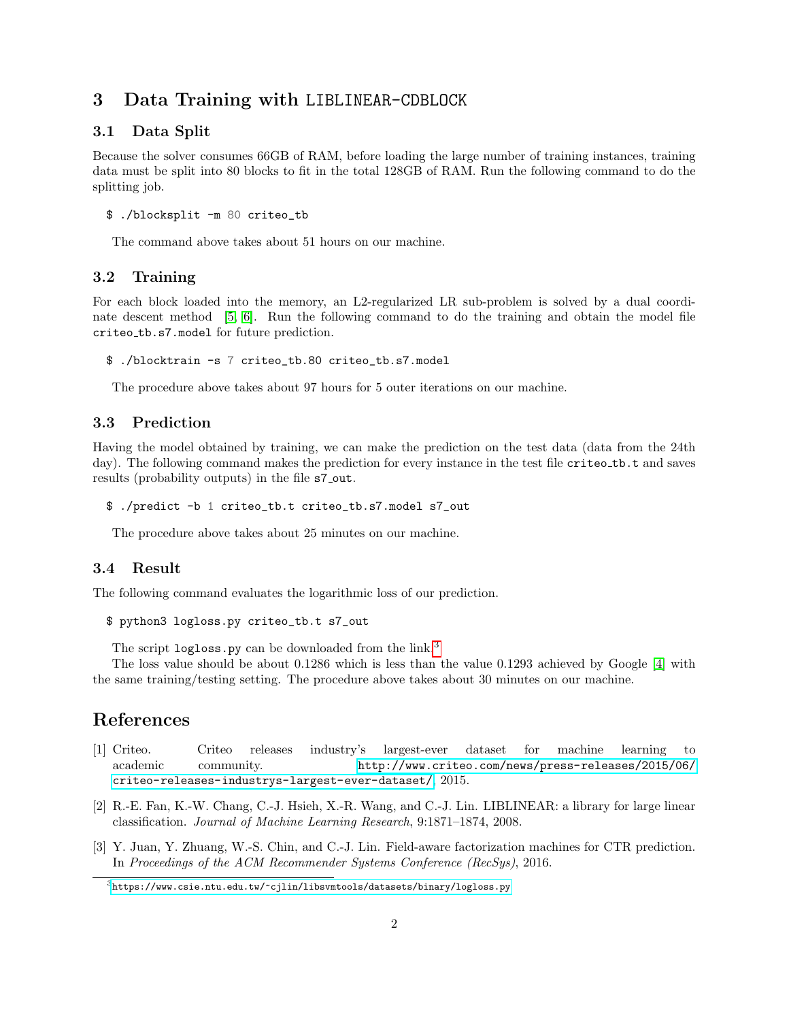### 3 Data Training with LIBLINEAR-CDBLOCK

#### 3.1 Data Split

Because the solver consumes 66GB of RAM, before loading the large number of training instances, training data must be split into 80 blocks to fit in the total 128GB of RAM. Run the following command to do the splitting job.

```
$ ./blocksplit -m 80 criteo_tb
```
The command above takes about 51 hours on our machine.

#### 3.2 Training

For each block loaded into the memory, an L2-regularized LR sub-problem is solved by a dual coordi-nate descent method [\[5,](#page-2-0) [6\]](#page-2-2). Run the following command to do the training and obtain the model file criteo tb.s7.model for future prediction.

\$ ./blocktrain -s 7 criteo\_tb.80 criteo\_tb.s7.model

The procedure above takes about 97 hours for 5 outer iterations on our machine.

### 3.3 Prediction

Having the model obtained by training, we can make the prediction on the test data (data from the 24th day). The following command makes the prediction for every instance in the test file criteo\_tb.t and saves results (probability outputs) in the file  $s$ 7-out.

\$ ./predict -b 1 criteo\_tb.t criteo\_tb.s7.model s7\_out

The procedure above takes about 25 minutes on our machine.

#### 3.4 Result

The following command evaluates the logarithmic loss of our prediction.

```
$ python3 logloss.py criteo_tb.t s7_out
```
The script logloss.py can be downloaded from the link.<sup>[3](#page-1-3)</sup>

The loss value should be about 0.1286 which is less than the value 0.1293 achieved by Google [\[4\]](#page-2-1) with the same training/testing setting. The procedure above takes about 30 minutes on our machine.

### References

- <span id="page-1-0"></span>[1] Criteo. Criteo releases industry's largest-ever dataset for machine learning to academic community. [http://www.criteo.com/news/press-releases/2015/06/]( http://www.criteo.com/news/press-releases/2015/06/criteo-releases-industrys-largest-ever-dataset/) [criteo-releases-industrys-largest-ever-dataset/]( http://www.criteo.com/news/press-releases/2015/06/criteo-releases-industrys-largest-ever-dataset/), 2015.
- <span id="page-1-1"></span>[2] R.-E. Fan, K.-W. Chang, C.-J. Hsieh, X.-R. Wang, and C.-J. Lin. LIBLINEAR: a library for large linear classification. Journal of Machine Learning Research, 9:1871–1874, 2008.
- <span id="page-1-2"></span>[3] Y. Juan, Y. Zhuang, W.-S. Chin, and C.-J. Lin. Field-aware factorization machines for CTR prediction. In Proceedings of the ACM Recommender Systems Conference (RecSys), 2016.

<span id="page-1-3"></span> $3$ <https://www.csie.ntu.edu.tw/~cjlin/libsvmtools/datasets/binary/logloss.py>